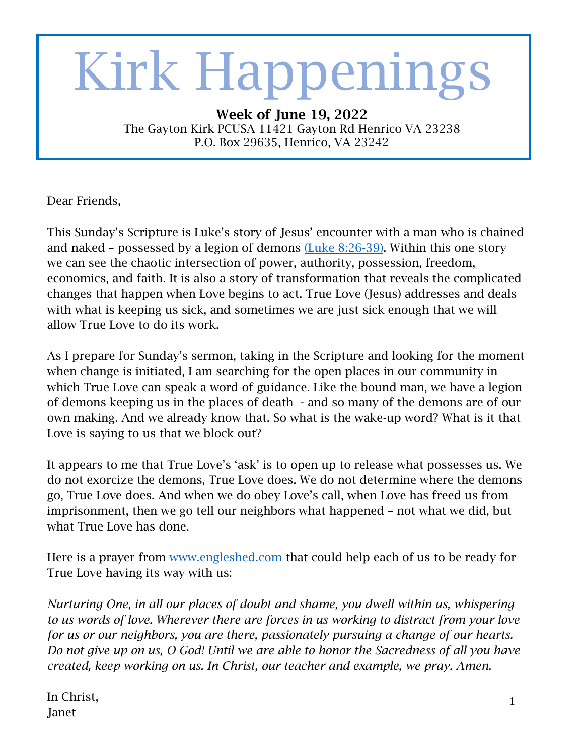# S Kirk Happenings

Week of June 19, 2022 The Gayton Kirk PCUSA 11421 Gayton Rd Henrico VA 23238 P.O. Box 29635, Henrico, VA 23242

Dear Friends,

This Sunday's Scripture is Luke's story of Jesus' encounter with a man who is chained and naked – possessed by a legion of demons [\(Luke 8:26-39\).](https://bible.oremus.org/) Within this one story we can see the chaotic intersection of power, authority, possession, freedom, economics, and faith. It is also a story of transformation that reveals the complicated changes that happen when Love begins to act. True Love (Jesus) addresses and deals with what is keeping us sick, and sometimes we are just sick enough that we will allow True Love to do its work.

As I prepare for Sunday's sermon, taking in the Scripture and looking for the moment when change is initiated, I am searching for the open places in our community in which True Love can speak a word of guidance. Like the bound man, we have a legion of demons keeping us in the places of death - and so many of the demons are of our own making. And we already know that. So what is the wake-up word? What is it that Love is saying to us that we block out?

It appears to me that True Love's 'ask' is to open up to release what possesses us. We do not exorcize the demons, True Love does. We do not determine where the demons go, True Love does. And when we do obey Love's call, when Love has freed us from imprisonment, then we go tell our neighbors what happened – not what we did, but what True Love has done.

Here is a prayer from [www.engleshed.com](http://www.engleshed.com/) that could help each of us to be ready for True Love having its way with us:

*Nurturing One, in all our places of doubt and shame, you dwell within us, whispering to us words of love. Wherever there are forces in us working to distract from your love for us or our neighbors, you are there, passionately pursuing a change of our hearts. Do not give up on us, O God! Until we are able to honor the Sacredness of all you have created, keep working on us. In Christ, our teacher and example, we pray. Amen.*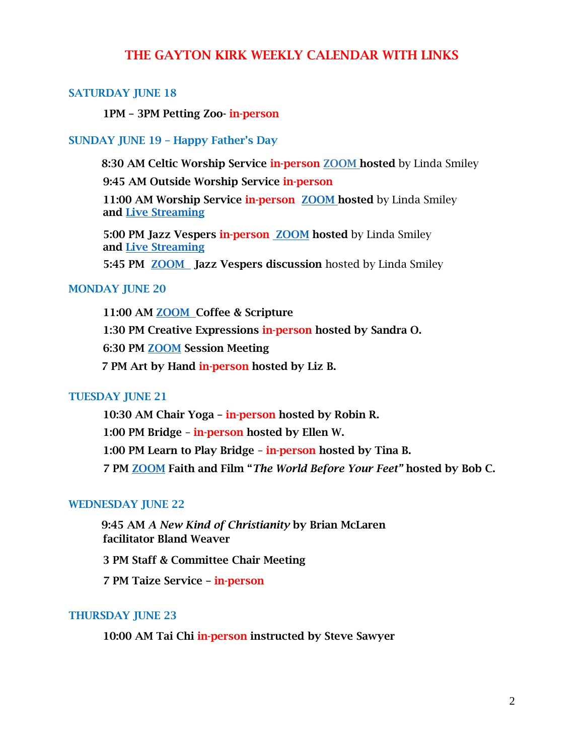# THE GAYTON KIRK WEEKLY CALENDAR WITH LINKS

## SATURDAY JUNE 18

1PM – 3PM Petting Zoo- in-person

### SUNDAY JUNE 19 – Happy Father's Day

8:30 AM Celtic Worship Service in-person [ZOOM](https://us02web.zoom.us/j/82948399986?pwd=M3lHdlpkdytHblNYZU1vTngxa0k0dz09) hosted by Linda Smiley

9:45 AM Outside Worship Service in-person

11:00 AM Worship Service in-person [ZOOM](https://us02web.zoom.us/j/88338027133?pwd=cm16c3F4QXhYNHFWMXhiN01hVDBBdz09) hosted by Linda Smiley and [Live Streaming](https://www.facebook.com/TheGaytonKirkPCUSA/live/)

5:00 PM Jazz Vespers in-person **[ZOOM](https://us02web.zoom.us/j/88338027133?pwd=cm16c3F4QXhYNHFWMXhiN01hVDBBdz09)** hosted by Linda Smiley and [Live Streaming](https://www.facebook.com/TheGaytonKirkPCUSA/live/)

5:45 PM [ZOOM](https://us02web.zoom.us/j/88338027133?pwd=cm16c3F4QXhYNHFWMXhiN01hVDBBdz09) Jazz Vespers discussion hosted by Linda Smiley

## MONDAY JUNE 20

11:00 AM [ZOOM](https://us02web.zoom.us/j/81392234181) Coffee & Scripture 1:30 PM Creative Expressions in-person hosted by Sandra O. 6:30 PM [ZOOM](https://us02web.zoom.us/j/87679392780?pwd=elRhakRhNFlIeWFqaVdIZENXaHlPUT09) Session Meeting 7 PM Art by Hand in-person hosted by Liz B.

#### TUESDAY JUNE 21

10:30 AM Chair Yoga – in-person hosted by Robin R. 1:00 PM Bridge – in-person hosted by Ellen W. 1:00 PM Learn to Play Bridge – in-person hosted by Tina B. 7 PM [ZOOM](https://us02web.zoom.us/j/84127275813?pwd=QU9GUE9JTHJoSSs2NXlJVnFMbmthQT09) Faith and Film "*The World Before Your Feet"* hosted by Bob C.

### WEDNESDAY JUNE 22

 9:45 AM *A New Kind of Christianity* by Brian McLaren facilitator Bland Weaver

3 PM Staff & Committee Chair Meeting

7 PM Taize Service – in-person

#### THURSDAY JUNE 23

10:00 AM Tai Chi in-person instructed by Steve Sawyer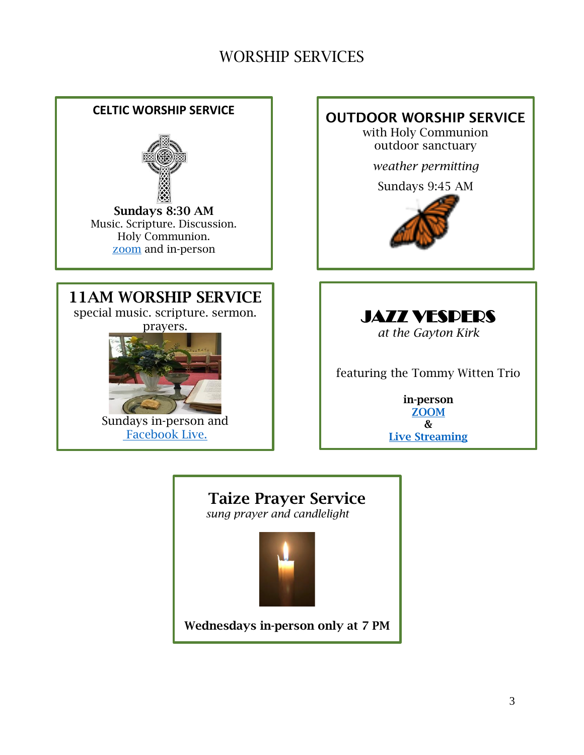# WORSHIP SERVICES



Taize Prayer Service

*sung prayer and candlelight*



Wednesdays in-person only at 7 PM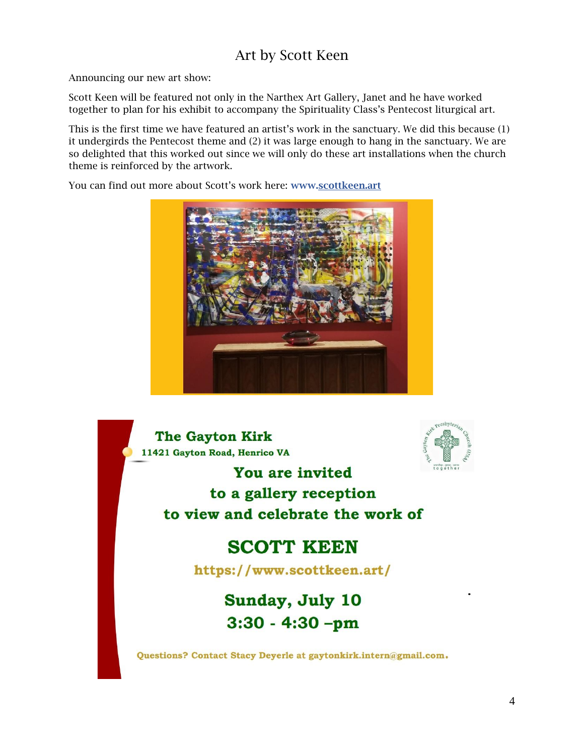# Art by Scott Keen

Announcing our new art show:

Scott Keen will be featured not only in the Narthex Art Gallery, Janet and he have worked together to plan for his exhibit to accompany the Spirituality Class's Pentecost liturgical art.

This is the first time we have featured an artist's work in the sanctuary. We did this because (1) it undergirds the Pentecost theme and (2) it was large enough to hang in the sanctuary. We are so delighted that this worked out since we will only do these art installations when the church theme is reinforced by the artwork.

You can find out more about Scott's work here: www[.scottkeen.art](https://www.scottkeen.art/)



**The Gavton Kirk** 11421 Gayton Road, Henrico VA



You are invited to a gallery reception to view and celebrate the work of

# **SCOTT KEEN**

https://www.scottkeen.art/

Sunday, July 10  $3:30 - 4:30 - pm$ 

Questions? Contact Stacy Deyerle at gaytonkirk.intern@gmail.com.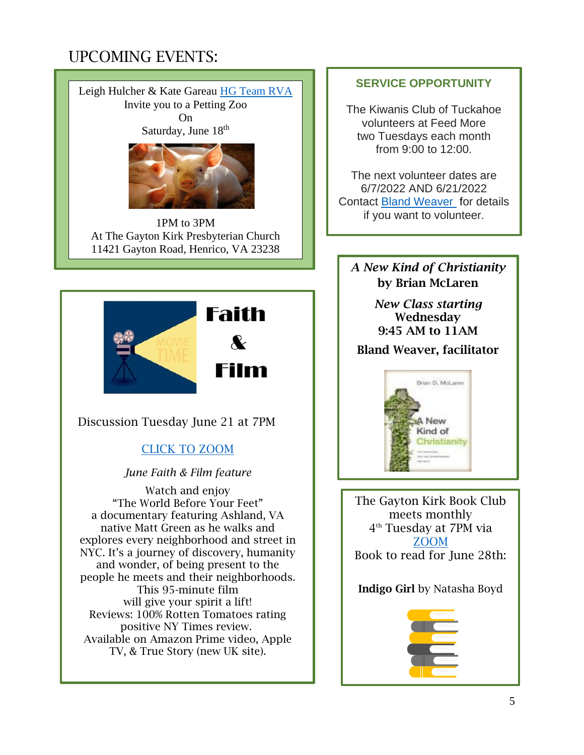# UPCOMING EVENTS:





1PM to 3PM At The Gayton Kirk Presbyterian Church 11421 Gayton Road, Henrico, VA 23238



Discussion Tuesday June 21 at 7PM

# [CLICK TO ZOOM](https://us02web.zoom.us/j/84127275813?pwd=QU9GUE9JTHJoSSs2NXlJVnFMbmthQT09)

# *June Faith & Film feature*

Watch and enjoy "The World Before Your Feet" a documentary featuring Ashland, VA native Matt Green as he walks and explores every neighborhood and street in NYC. It's a journey of discovery, humanity and wonder, of being present to the people he meets and their neighborhoods. This 95-minute film will give your spirit a lift! Reviews: 100% Rotten Tomatoes rating positive NY Times review. Available on Amazon Prime video, Apple TV, & True Story (new UK site).

# **SERVICE OPPORTUNITY**

The Kiwanis Club of Tuckahoe volunteers at Feed More two Tuesdays each month from 9:00 to 12:00.

The next volunteer dates are 6/7/2022 AND 6/21/2022 Contact [Bland Weaver](mailto:bweaver@iwpva.com) for details if you want to volunteer.

*A New Kind of Christianity* by Brian McLaren

> *New Class starting*  Wednesday 9:45 AM to 11AM

# Bland Weaver, facilitator



The Gayton Kirk Book Club meets monthly 4 th Tuesday at 7PM via [ZOOM](https://us02web.zoom.us/j/85622125788) Book to read for June 28th:

# Indigo Girl by Natasha Boyd

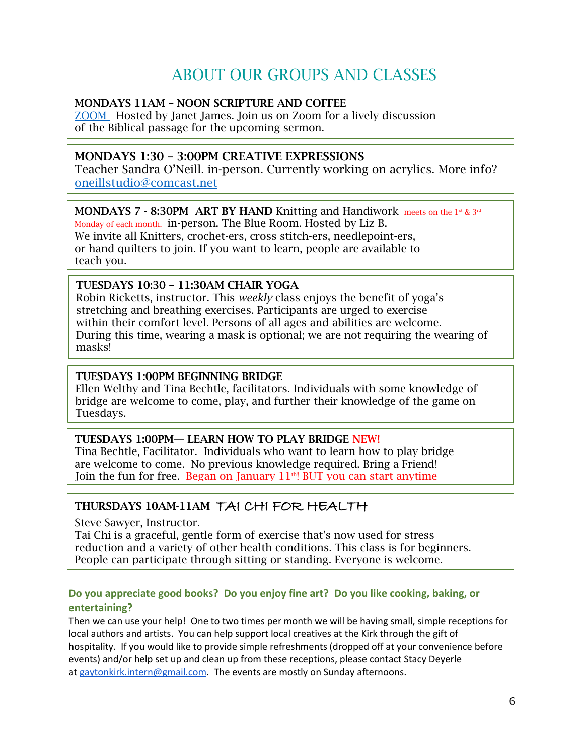# ABOUT OUR GROUPS AND CLASSES

## MONDAYS 11AM – NOON SCRIPTURE AND COFFEE

[ZOOM](https://us02web.zoom.us/j/81392234181) Hosted by Janet James. Join us on Zoom for a lively discussion of the Biblical passage for the upcoming sermon.

# MONDAYS 1:30 – 3:00PM CREATIVE EXPRESSIONS

Teacher Sandra O'Neill. in-person. Currently working on acrylics. More info? [oneillstudio@comcast.net](file:///C:/Users/elois/Downloads/oneillstudio@comcast.net)

# MONDAYS 7 - 8:30PM ART BY HAND Knitting and Handiwork meets on the 1st & 3rd

Monday of each month. in-person. The Blue Room. Hosted by Liz B. We invite all Knitters, crochet-ers, cross stitch-ers, needlepoint-ers, or hand quilters to join. If you want to learn, people are available to teach you.

## TUESDAYS 10:30 – 11:30AM CHAIR YOGA

Robin Ricketts, instructor. This *weekly* class enjoys the benefit of yoga's stretching and breathing exercises. Participants are urged to exercise within their comfort level. Persons of all ages and abilities are welcome. During this time, wearing a mask is optional; we are not requiring the wearing of masks!

## TUESDAYS 1:00PM BEGINNING BRIDGE

Ellen Welthy and Tina Bechtle, facilitators. Individuals with some knowledge of bridge are welcome to come, play, and further their knowledge of the game on Tuesdays.

## TUESDAYS 1:00PM— LEARN HOW TO PLAY BRIDGE NEW!

Tina Bechtle, Facilitator. Individuals who want to learn how to play bridge are welcome to come. No previous knowledge required. Bring a Friend! Join the fun for free. Began on January  $11<sup>th</sup>$ ! BUT you can start anytime

# THURSDAYS 10AM-11AM TAI CHI FOR HEALTH

Steve Sawyer, Instructor.

Tai Chi is a graceful, gentle form of exercise that's now used for stress reduction and a variety of other health conditions. This class is for beginners. People can participate through sitting or standing. Everyone is welcome.

# **Do you appreciate good books? Do you enjoy fine art? Do you like cooking, baking, or entertaining?**

Then we can use your help! One to two times per month we will be having small, simple receptions for local authors and artists. You can help support local creatives at the Kirk through the gift of hospitality. If you would like to provide simple refreshments (dropped off at your convenience before events) and/or help set up and clean up from these receptions, please contact Stacy Deyerle at [gaytonkirk.intern@gmail.com.](mailto:gaytonkirk.intern@gmail.com) The events are mostly on Sunday afternoons.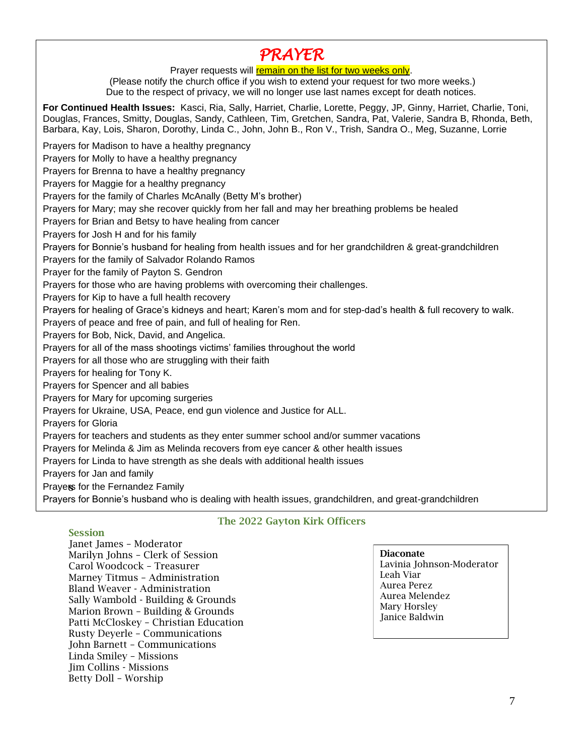# *PRAYER*

Prayer requests will remain on the list for two weeks only.

(Please notify the church office if you wish to extend your request for two more weeks.) Due to the respect of privacy, we will no longer use last names except for death notices.

**For Continued Health Issues:** Kasci, Ria, Sally, Harriet, Charlie, Lorette, Peggy, JP, Ginny, Harriet, Charlie, Toni, Douglas, Frances, Smitty, Douglas, Sandy, Cathleen, Tim, Gretchen, Sandra, Pat, Valerie, Sandra B, Rhonda, Beth, Barbara, Kay, Lois, Sharon, Dorothy, Linda C., John, John B., Ron V., Trish, Sandra O., Meg, Suzanne, Lorrie

Prayers for Madison to have a healthy pregnancy

Prayers for Molly to have a healthy pregnancy

Prayers for Brenna to have a healthy pregnancy

Prayers for Maggie for a healthy pregnancy

Prayers for the family of Charles McAnally (Betty M's brother)

Prayers for Mary; may she recover quickly from her fall and may her breathing problems be healed

Prayers for Brian and Betsy to have healing from cancer

Prayers for Josh H and for his family

Prayers for Bonnie's husband for healing from health issues and for her grandchildren & great-grandchildren

Prayers for the family of Salvador Rolando Ramos

Prayer for the family of Payton S. Gendron

Prayers for those who are having problems with overcoming their challenges.

Prayers for Kip to have a full health recovery

Prayers for healing of Grace's kidneys and heart; Karen's mom and for step-dad's health & full recovery to walk.

Prayers of peace and free of pain, and full of healing for Ren.

Prayers for Bob, Nick, David, and Angelica.

Prayers for all of the mass shootings victims' families throughout the world

Prayers for all those who are struggling with their faith

Prayers for healing for Tony K.

Prayers for Spencer and all babies

Prayers for Mary for upcoming surgeries

Prayers for Ukraine, USA, Peace, end gun violence and Justice for ALL.

Prayers for Gloria

Prayers for teachers and students as they enter summer school and/or summer vacations

Prayers for Melinda & Jim as Melinda recovers from eye cancer & other health issues

Prayers for Linda to have strength as she deals with additional health issues

Prayers for Jan and family

Prayers for the Fernandez Family

Prayers for Bonnie's husband who is dealing with health issues, grandchildren, and great-grandchildren

#### Session

.

#### The 2022 Gayton Kirk Officers

Janet James – Moderator Marilyn Johns – Clerk of Session Carol Woodcock – Treasurer Marney Titmus – Administration Bland Weaver - Administration Sally Wambold - Building & Grounds Marion Brown – Building & Grounds Patti McCloskey – Christian Education Rusty Deyerle – Communications John Barnett – Communications Linda Smiley – Missions Jim Collins - Missions Betty Doll – Worship

#### Diaconate Lavinia Johnson-Moderator Leah Viar Aurea Perez

Aurea Melendez Mary Horsley Janice Baldwin